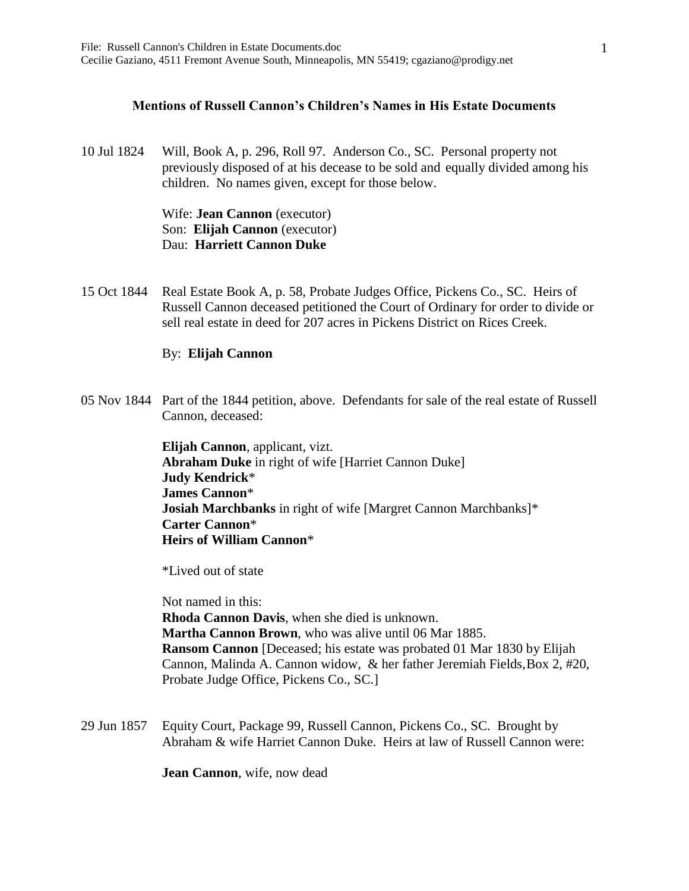## **Mentions of Russell Cannon's Children's Names in His Estate Documents**

10 Jul 1824 Will, Book A, p. 296, Roll 97. Anderson Co., SC. Personal property not previously disposed of at his decease to be sold and equally divided among his children. No names given, except for those below.

> Wife: **Jean Cannon** (executor) Son: **Elijah Cannon** (executor) Dau: **Harriett Cannon Duke**

15 Oct 1844 Real Estate Book A, p. 58, Probate Judges Office, Pickens Co., SC. Heirs of Russell Cannon deceased petitioned the Court of Ordinary for order to divide or sell real estate in deed for 207 acres in Pickens District on Rices Creek.

## By: **Elijah Cannon**

05 Nov 1844 Part of the 1844 petition, above. Defendants for sale of the real estate of Russell Cannon, deceased:

> **Elijah Cannon**, applicant, vizt. **Abraham Duke** in right of wife [Harriet Cannon Duke] **Judy Kendrick**\* **James Cannon**\* **Josiah Marchbanks** in right of wife [Margret Cannon Marchbanks]\* **Carter Cannon**\* **Heirs of William Cannon**\*

\*Lived out of state

Not named in this: **Rhoda Cannon Davis**, when she died is unknown. **Martha Cannon Brown**, who was alive until 06 Mar 1885. **Ransom Cannon** [Deceased; his estate was probated 01 Mar 1830 by Elijah Cannon, Malinda A. Cannon widow, & her father Jeremiah Fields,Box 2, #20, Probate Judge Office, Pickens Co., SC.]

29 Jun 1857 Equity Court, Package 99, Russell Cannon, Pickens Co., SC. Brought by Abraham & wife Harriet Cannon Duke. Heirs at law of Russell Cannon were:

**Jean Cannon**, wife, now dead